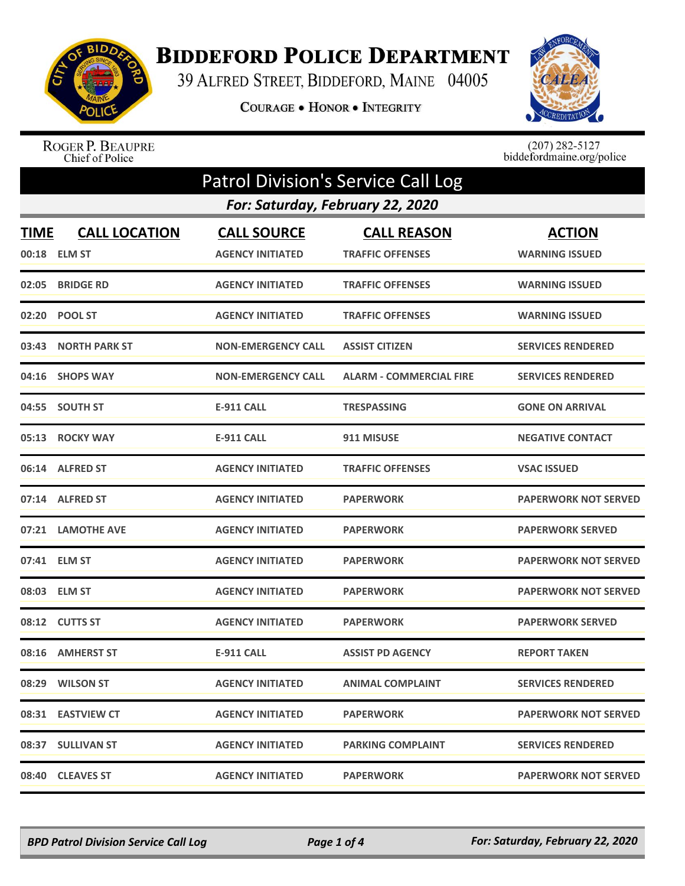

## **BIDDEFORD POLICE DEPARTMENT**

39 ALFRED STREET, BIDDEFORD, MAINE 04005

COURAGE . HONOR . INTEGRITY



ROGER P. BEAUPRE<br>Chief of Police

 $(207)$  282-5127<br>biddefordmaine.org/police

| <b>Patrol Division's Service Call Log</b> |                                      |                                               |                                               |                                        |  |  |
|-------------------------------------------|--------------------------------------|-----------------------------------------------|-----------------------------------------------|----------------------------------------|--|--|
|                                           | For: Saturday, February 22, 2020     |                                               |                                               |                                        |  |  |
| <b>TIME</b>                               | <b>CALL LOCATION</b><br>00:18 ELM ST | <b>CALL SOURCE</b><br><b>AGENCY INITIATED</b> | <b>CALL REASON</b><br><b>TRAFFIC OFFENSES</b> | <b>ACTION</b><br><b>WARNING ISSUED</b> |  |  |
|                                           | 02:05 BRIDGE RD                      | <b>AGENCY INITIATED</b>                       | <b>TRAFFIC OFFENSES</b>                       | <b>WARNING ISSUED</b>                  |  |  |
|                                           | 02:20 POOL ST                        | <b>AGENCY INITIATED</b>                       | <b>TRAFFIC OFFENSES</b>                       | <b>WARNING ISSUED</b>                  |  |  |
| 03:43                                     | <b>NORTH PARK ST</b>                 | <b>NON-EMERGENCY CALL</b>                     | <b>ASSIST CITIZEN</b>                         | <b>SERVICES RENDERED</b>               |  |  |
|                                           | 04:16 SHOPS WAY                      | <b>NON-EMERGENCY CALL</b>                     | <b>ALARM - COMMERCIAL FIRE</b>                | <b>SERVICES RENDERED</b>               |  |  |
|                                           | 04:55 SOUTH ST                       | <b>E-911 CALL</b>                             | <b>TRESPASSING</b>                            | <b>GONE ON ARRIVAL</b>                 |  |  |
|                                           | 05:13 ROCKY WAY                      | <b>E-911 CALL</b>                             | 911 MISUSE                                    | <b>NEGATIVE CONTACT</b>                |  |  |
|                                           | 06:14 ALFRED ST                      | <b>AGENCY INITIATED</b>                       | <b>TRAFFIC OFFENSES</b>                       | <b>VSAC ISSUED</b>                     |  |  |
|                                           | 07:14 ALFRED ST                      | <b>AGENCY INITIATED</b>                       | <b>PAPERWORK</b>                              | <b>PAPERWORK NOT SERVED</b>            |  |  |
|                                           | 07:21 LAMOTHE AVE                    | <b>AGENCY INITIATED</b>                       | <b>PAPERWORK</b>                              | <b>PAPERWORK SERVED</b>                |  |  |
| 07:41                                     | <b>ELM ST</b>                        | <b>AGENCY INITIATED</b>                       | <b>PAPERWORK</b>                              | <b>PAPERWORK NOT SERVED</b>            |  |  |
|                                           | 08:03 ELM ST                         | <b>AGENCY INITIATED</b>                       | <b>PAPERWORK</b>                              | <b>PAPERWORK NOT SERVED</b>            |  |  |
|                                           | 08:12 CUTTS ST                       | <b>AGENCY INITIATED</b>                       | <b>PAPERWORK</b>                              | <b>PAPERWORK SERVED</b>                |  |  |
|                                           | 08:16 AMHERST ST                     | <b>E-911 CALL</b>                             | <b>ASSIST PD AGENCY</b>                       | <b>REPORT TAKEN</b>                    |  |  |
|                                           | 08:29 WILSON ST                      | <b>AGENCY INITIATED</b>                       | <b>ANIMAL COMPLAINT</b>                       | <b>SERVICES RENDERED</b>               |  |  |
|                                           | 08:31 EASTVIEW CT                    | <b>AGENCY INITIATED</b>                       | <b>PAPERWORK</b>                              | <b>PAPERWORK NOT SERVED</b>            |  |  |
|                                           | 08:37 SULLIVAN ST                    | <b>AGENCY INITIATED</b>                       | <b>PARKING COMPLAINT</b>                      | <b>SERVICES RENDERED</b>               |  |  |
|                                           | 08:40 CLEAVES ST                     | <b>AGENCY INITIATED</b>                       | <b>PAPERWORK</b>                              | <b>PAPERWORK NOT SERVED</b>            |  |  |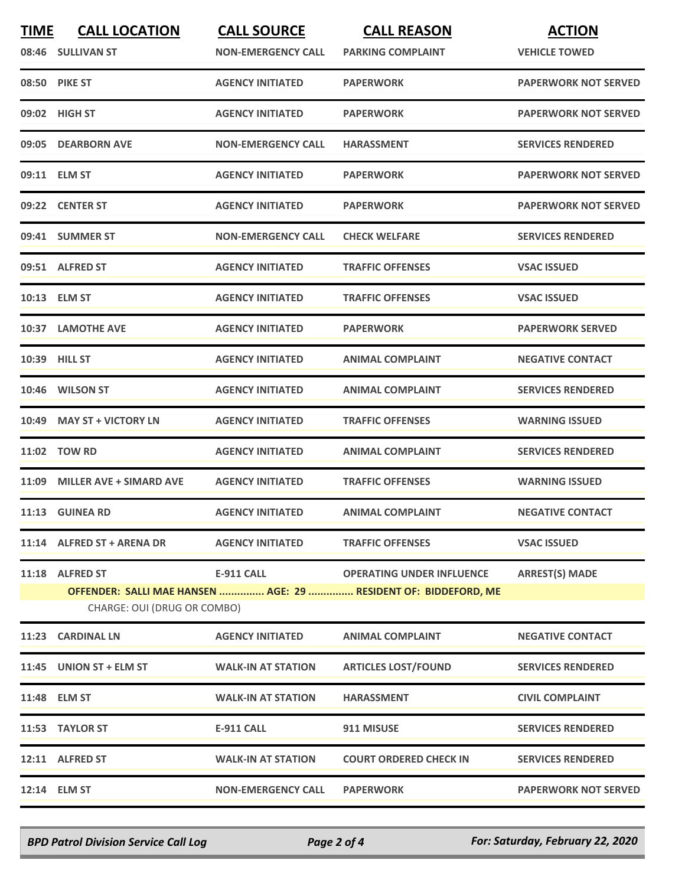| <b>TIME</b> | <b>CALL LOCATION</b><br>08:46 SULLIVAN ST                                                      | <b>CALL SOURCE</b><br><b>NON-EMERGENCY CALL</b> | <b>CALL REASON</b><br><b>PARKING COMPLAINT</b> | <b>ACTION</b><br><b>VEHICLE TOWED</b> |  |
|-------------|------------------------------------------------------------------------------------------------|-------------------------------------------------|------------------------------------------------|---------------------------------------|--|
|             | 08:50 PIKE ST                                                                                  | <b>AGENCY INITIATED</b>                         | <b>PAPERWORK</b>                               | <b>PAPERWORK NOT SERVED</b>           |  |
|             | 09:02 HIGH ST                                                                                  | <b>AGENCY INITIATED</b>                         | <b>PAPERWORK</b>                               | <b>PAPERWORK NOT SERVED</b>           |  |
|             | 09:05 DEARBORN AVE                                                                             | <b>NON-EMERGENCY CALL</b>                       | <b>HARASSMENT</b>                              | <b>SERVICES RENDERED</b>              |  |
|             | 09:11 ELM ST                                                                                   | <b>AGENCY INITIATED</b>                         | <b>PAPERWORK</b>                               | <b>PAPERWORK NOT SERVED</b>           |  |
|             | 09:22 CENTER ST                                                                                | <b>AGENCY INITIATED</b>                         | <b>PAPERWORK</b>                               | <b>PAPERWORK NOT SERVED</b>           |  |
|             | 09:41 SUMMER ST                                                                                | <b>NON-EMERGENCY CALL</b>                       | <b>CHECK WELFARE</b>                           | <b>SERVICES RENDERED</b>              |  |
|             | 09:51 ALFRED ST                                                                                | <b>AGENCY INITIATED</b>                         | <b>TRAFFIC OFFENSES</b>                        | <b>VSAC ISSUED</b>                    |  |
|             | 10:13 ELM ST                                                                                   | <b>AGENCY INITIATED</b>                         | <b>TRAFFIC OFFENSES</b>                        | <b>VSAC ISSUED</b>                    |  |
|             | 10:37 LAMOTHE AVE                                                                              | <b>AGENCY INITIATED</b>                         | <b>PAPERWORK</b>                               | <b>PAPERWORK SERVED</b>               |  |
|             | 10:39 HILL ST                                                                                  | <b>AGENCY INITIATED</b>                         | <b>ANIMAL COMPLAINT</b>                        | <b>NEGATIVE CONTACT</b>               |  |
|             | 10:46 WILSON ST                                                                                | <b>AGENCY INITIATED</b>                         | <b>ANIMAL COMPLAINT</b>                        | <b>SERVICES RENDERED</b>              |  |
|             | 10:49 MAY ST + VICTORY LN                                                                      | <b>AGENCY INITIATED</b>                         | <b>TRAFFIC OFFENSES</b>                        | <b>WARNING ISSUED</b>                 |  |
|             | 11:02 TOW RD                                                                                   | <b>AGENCY INITIATED</b>                         | <b>ANIMAL COMPLAINT</b>                        | <b>SERVICES RENDERED</b>              |  |
|             | 11:09 MILLER AVE + SIMARD AVE                                                                  | <b>AGENCY INITIATED</b>                         | <b>TRAFFIC OFFENSES</b>                        | <b>WARNING ISSUED</b>                 |  |
|             | 11:13 GUINEA RD                                                                                | <b>AGENCY INITIATED</b>                         | <b>ANIMAL COMPLAINT</b>                        | <b>NEGATIVE CONTACT</b>               |  |
|             | 11:14 ALFRED ST + ARENA DR                                                                     | <b>AGENCY INITIATED</b>                         | <b>TRAFFIC OFFENSES</b>                        | <b>VSAC ISSUED</b>                    |  |
|             | 11:18 ALFRED ST                                                                                | <b>E-911 CALL</b>                               | <b>OPERATING UNDER INFLUENCE</b>               | <b>ARREST(S) MADE</b>                 |  |
|             | OFFENDER: SALLI MAE HANSEN  AGE: 29  RESIDENT OF: BIDDEFORD, ME<br>CHARGE: OUI (DRUG OR COMBO) |                                                 |                                                |                                       |  |
|             | 11:23 CARDINAL LN                                                                              | <b>AGENCY INITIATED</b>                         | <b>ANIMAL COMPLAINT</b>                        | <b>NEGATIVE CONTACT</b>               |  |
|             | 11:45 UNION ST + ELM ST                                                                        | <b>WALK-IN AT STATION</b>                       | <b>ARTICLES LOST/FOUND</b>                     | <b>SERVICES RENDERED</b>              |  |
|             | 11:48 ELM ST                                                                                   | <b>WALK-IN AT STATION</b>                       | <b>HARASSMENT</b>                              | <b>CIVIL COMPLAINT</b>                |  |
|             | 11:53 TAYLOR ST                                                                                | <b>E-911 CALL</b>                               | 911 MISUSE                                     | <b>SERVICES RENDERED</b>              |  |
|             | 12:11 ALFRED ST                                                                                | <b>WALK-IN AT STATION</b>                       | <b>COURT ORDERED CHECK IN</b>                  | <b>SERVICES RENDERED</b>              |  |
|             | 12:14 ELM ST                                                                                   | <b>NON-EMERGENCY CALL</b>                       | <b>PAPERWORK</b>                               | <b>PAPERWORK NOT SERVED</b>           |  |

*BPD Patrol Division Service Call Log Page 2 of 4 For: Saturday, February 22, 2020*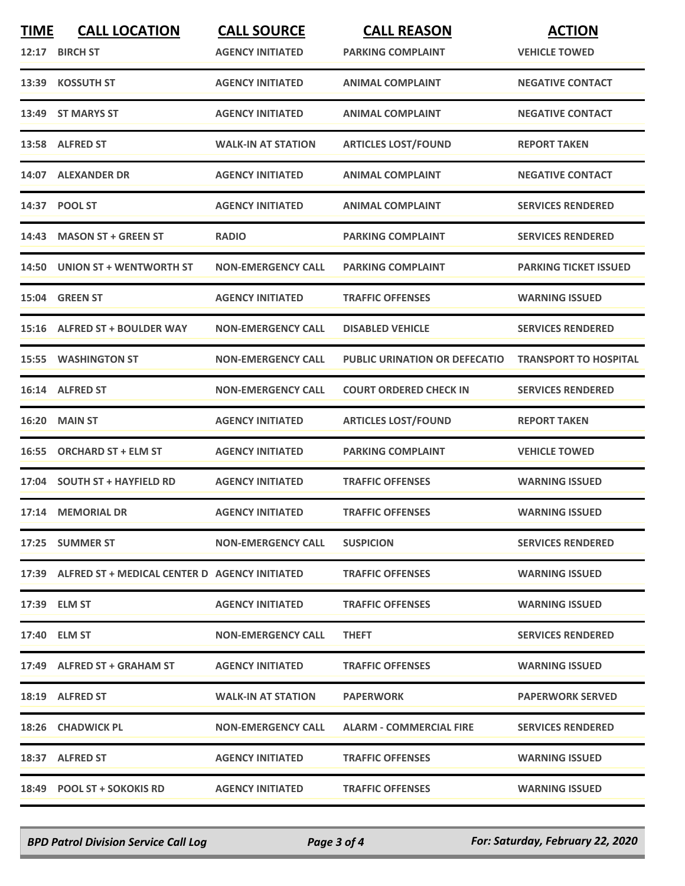| <b>TIME</b> | <b>CALL LOCATION</b><br>12:17 BIRCH ST              | <b>CALL SOURCE</b><br><b>AGENCY INITIATED</b> | <b>CALL REASON</b><br><b>PARKING COMPLAINT</b> | <b>ACTION</b><br><b>VEHICLE TOWED</b> |
|-------------|-----------------------------------------------------|-----------------------------------------------|------------------------------------------------|---------------------------------------|
|             | 13:39 KOSSUTH ST                                    | <b>AGENCY INITIATED</b>                       | <b>ANIMAL COMPLAINT</b>                        | <b>NEGATIVE CONTACT</b>               |
| 13:49       | <b>ST MARYS ST</b>                                  | <b>AGENCY INITIATED</b>                       | <b>ANIMAL COMPLAINT</b>                        | <b>NEGATIVE CONTACT</b>               |
|             | 13:58 ALFRED ST                                     | <b>WALK-IN AT STATION</b>                     | <b>ARTICLES LOST/FOUND</b>                     | <b>REPORT TAKEN</b>                   |
|             | 14:07 ALEXANDER DR                                  | <b>AGENCY INITIATED</b>                       | <b>ANIMAL COMPLAINT</b>                        | <b>NEGATIVE CONTACT</b>               |
|             | 14:37 POOL ST                                       | <b>AGENCY INITIATED</b>                       | <b>ANIMAL COMPLAINT</b>                        | <b>SERVICES RENDERED</b>              |
| 14:43       | <b>MASON ST + GREEN ST</b>                          | <b>RADIO</b>                                  | <b>PARKING COMPLAINT</b>                       | <b>SERVICES RENDERED</b>              |
|             | 14:50 UNION ST + WENTWORTH ST                       | <b>NON-EMERGENCY CALL</b>                     | <b>PARKING COMPLAINT</b>                       | <b>PARKING TICKET ISSUED</b>          |
|             | 15:04 GREEN ST                                      | <b>AGENCY INITIATED</b>                       | <b>TRAFFIC OFFENSES</b>                        | <b>WARNING ISSUED</b>                 |
|             | 15:16 ALFRED ST + BOULDER WAY                       | <b>NON-EMERGENCY CALL</b>                     | <b>DISABLED VEHICLE</b>                        | <b>SERVICES RENDERED</b>              |
|             | <b>15:55 WASHINGTON ST</b>                          | <b>NON-EMERGENCY CALL</b>                     | <b>PUBLIC URINATION OR DEFECATIO</b>           | <b>TRANSPORT TO HOSPITAL</b>          |
|             | 16:14 ALFRED ST                                     | <b>NON-EMERGENCY CALL</b>                     | <b>COURT ORDERED CHECK IN</b>                  | <b>SERVICES RENDERED</b>              |
| 16:20       | <b>MAIN ST</b>                                      | <b>AGENCY INITIATED</b>                       | <b>ARTICLES LOST/FOUND</b>                     | <b>REPORT TAKEN</b>                   |
| 16:55       | <b>ORCHARD ST + ELM ST</b>                          | <b>AGENCY INITIATED</b>                       | <b>PARKING COMPLAINT</b>                       | <b>VEHICLE TOWED</b>                  |
|             | 17:04 SOUTH ST + HAYFIELD RD                        | <b>AGENCY INITIATED</b>                       | <b>TRAFFIC OFFENSES</b>                        | <b>WARNING ISSUED</b>                 |
|             | 17:14 MEMORIAL DR                                   | <b>AGENCY INITIATED</b>                       | <b>TRAFFIC OFFENSES</b>                        | <b>WARNING ISSUED</b>                 |
|             | 17:25 SUMMER ST                                     | <b>NON-EMERGENCY CALL</b>                     | <b>SUSPICION</b>                               | <b>SERVICES RENDERED</b>              |
|             | 17:39 ALFRED ST + MEDICAL CENTER D AGENCY INITIATED |                                               | <b>TRAFFIC OFFENSES</b>                        | <b>WARNING ISSUED</b>                 |
|             | 17:39 ELM ST                                        | <b>AGENCY INITIATED</b>                       | <b>TRAFFIC OFFENSES</b>                        | <b>WARNING ISSUED</b>                 |
|             | 17:40 ELM ST                                        | <b>NON-EMERGENCY CALL</b>                     | <b>THEFT</b>                                   | <b>SERVICES RENDERED</b>              |
|             | 17:49 ALFRED ST + GRAHAM ST                         | <b>AGENCY INITIATED</b>                       | <b>TRAFFIC OFFENSES</b>                        | <b>WARNING ISSUED</b>                 |
|             | 18:19 ALFRED ST                                     | <b>WALK-IN AT STATION</b>                     | <b>PAPERWORK</b>                               | <b>PAPERWORK SERVED</b>               |
|             | 18:26 CHADWICK PL                                   | <b>NON-EMERGENCY CALL</b>                     | <b>ALARM - COMMERCIAL FIRE</b>                 | <b>SERVICES RENDERED</b>              |
|             | 18:37 ALFRED ST                                     | <b>AGENCY INITIATED</b>                       | <b>TRAFFIC OFFENSES</b>                        | <b>WARNING ISSUED</b>                 |
|             | 18:49 POOL ST + SOKOKIS RD                          | <b>AGENCY INITIATED</b>                       | <b>TRAFFIC OFFENSES</b>                        | <b>WARNING ISSUED</b>                 |

*BPD Patrol Division Service Call Log Page 3 of 4 For: Saturday, February 22, 2020*